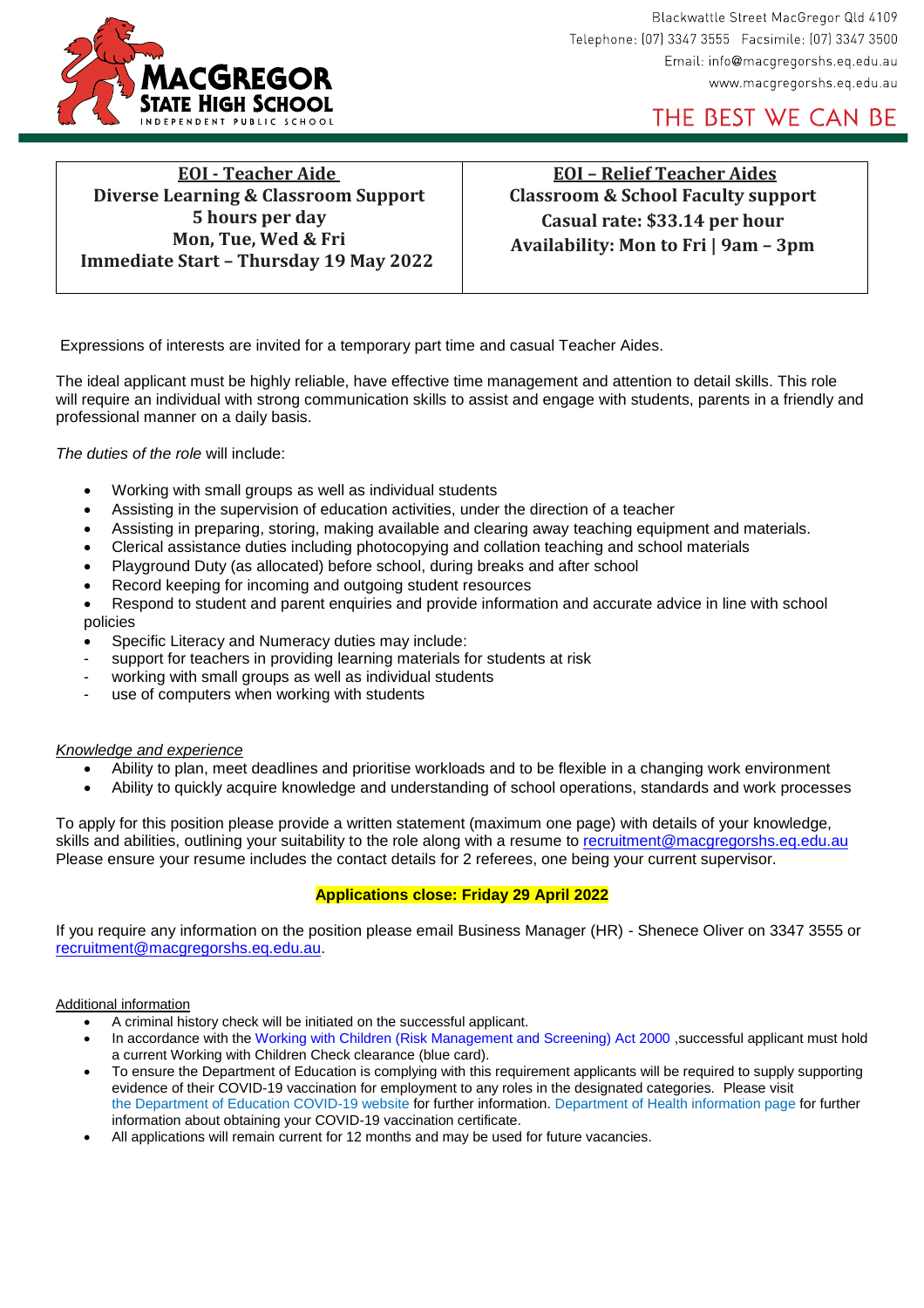

Blackwattle Street MacGregor Qld 4109 Telephone: (07) 3347 3555 Facsimile: (07) 3347 3500 Email: info@macgregorshs.eq.edu.au www.macgregorshs.eq.edu.au

THE BEST WE CAN BE

**EOI - Teacher Aide Diverse Learning & Classroom Support 5 hours per day Mon, Tue, Wed & Fri Immediate Start – Thursday 19 May 2022**

**EOI – Relief Teacher Aides Classroom & School Faculty support Casual rate: \$33.14 per hour Availability: Mon to Fri | 9am – 3pm**

Expressions of interests are invited for a temporary part time and casual Teacher Aides.

The ideal applicant must be highly reliable, have effective time management and attention to detail skills. This role will require an individual with strong communication skills to assist and engage with students, parents in a friendly and professional manner on a daily basis.

*The duties of the role* will include:

- Working with small groups as well as individual students
- Assisting in the supervision of education activities, under the direction of a teacher
- Assisting in preparing, storing, making available and clearing away teaching equipment and materials.
- Clerical assistance duties including photocopying and collation teaching and school materials
- Playground Duty (as allocated) before school, during breaks and after school
- Record keeping for incoming and outgoing student resources
- Respond to student and parent enquiries and provide information and accurate advice in line with school policies
- Specific Literacy and Numeracy duties may include:
- support for teachers in providing learning materials for students at risk
- working with small groups as well as individual students
- use of computers when working with students

#### *Knowledge and experience*

- Ability to plan, meet deadlines and prioritise workloads and to be flexible in a changing work environment
- Ability to quickly acquire knowledge and understanding of school operations, standards and work processes

To apply for this position please provide a written statement (maximum one page) with details of your knowledge, skills and abilities, outlining your suitability to the role along with a resume to [recruitment@macgregorshs.eq.edu.au](mailto:recruitment@macgregorshs.eq.edu.au) Please ensure your resume includes the contact details for 2 referees, one being your current supervisor.

## **Applications close: Friday 29 April 2022**

If you require any information on the position please email Business Manager (HR) - Shenece Oliver on 3347 3555 or [recruitment@macgregorshs.eq.edu.au.](mailto:recruitment@macgregorshs.eq.edu.au)

Additional information

- A criminal history check will be initiated on the successful applicant.
- In accordance with the Working with Children (Risk Management and Screening) Act 2000 , successful applicant must hold a current Working with Children Check clearance (blue card).
- To ensure the Department of Education is complying with this requirement applicants will be required to supply supporting evidence of their COVID-19 vaccination for employment to any roles in the designated categories. Please visit the [Department of Education COVID-19 website](https://alt-qed.qed.qld.gov.au/covid19) for further information. [Department of Health information page](https://www.health.gov.au/initiatives-and-programs/covid-19-vaccines/certificates) for further information about obtaining your COVID-19 vaccination certificate.
- All applications will remain current for 12 months and may be used for future vacancies.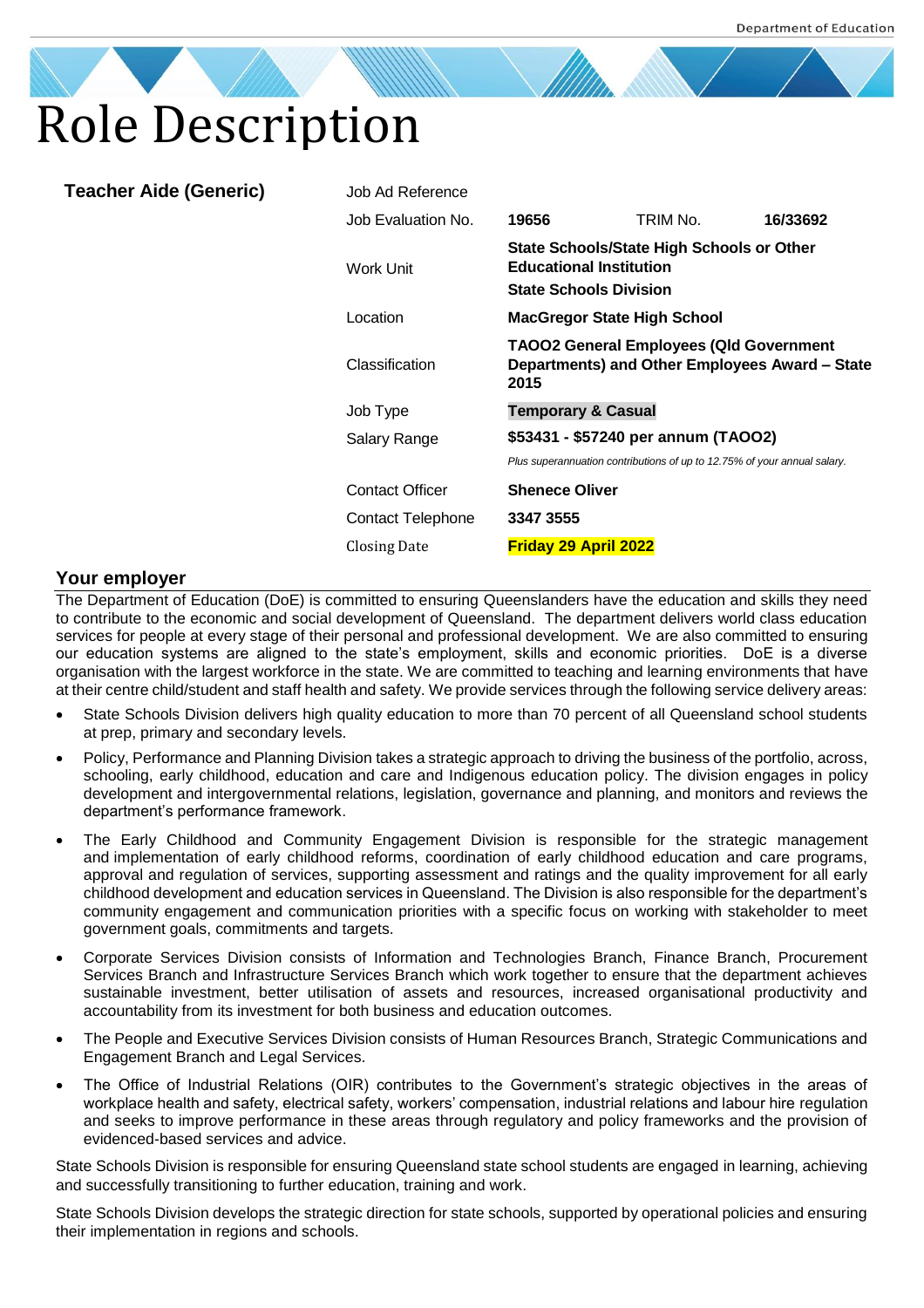

| <b>Teacher Aide (Generic)</b> | Job Ad Reference       |                                                                                                                     |                                                                          |          |
|-------------------------------|------------------------|---------------------------------------------------------------------------------------------------------------------|--------------------------------------------------------------------------|----------|
|                               | Job Evaluation No.     | 19656                                                                                                               | TRIM No.                                                                 | 16/33692 |
|                               | Work Unit              | <b>State Schools/State High Schools or Other</b><br><b>Educational Institution</b><br><b>State Schools Division</b> |                                                                          |          |
|                               | Location               | <b>MacGregor State High School</b>                                                                                  |                                                                          |          |
|                               | Classification         | <b>TAOO2 General Employees (QId Government</b><br>Departments) and Other Employees Award - State<br>2015            |                                                                          |          |
|                               | Job Type               | <b>Temporary &amp; Casual</b>                                                                                       |                                                                          |          |
|                               | Salary Range           | \$53431 - \$57240 per annum (TAOO2)                                                                                 |                                                                          |          |
|                               |                        |                                                                                                                     | Plus superannuation contributions of up to 12.75% of your annual salary. |          |
|                               | <b>Contact Officer</b> | <b>Shenece Oliver</b>                                                                                               |                                                                          |          |
|                               | Contact Telephone      | 3347 3555                                                                                                           |                                                                          |          |
|                               | Closing Date           | <b>Friday 29 April 2022</b>                                                                                         |                                                                          |          |

## **Your employer**

The Department of Education (DoE) is committed to ensuring Queenslanders have the education and skills they need to contribute to the economic and social development of Queensland. The department delivers world class education services for people at every stage of their personal and professional development. We are also committed to ensuring our education systems are aligned to the state's employment, skills and economic priorities. DoE is a diverse organisation with the largest workforce in the state. We are committed to teaching and learning environments that have at their centre child/student and staff health and safety. We provide services through the following service delivery areas:

- State Schools Division delivers high quality education to more than 70 percent of all Queensland school students at prep, primary and secondary levels.
- Policy, Performance and Planning Division takes a strategic approach to driving the business of the portfolio, across, schooling, early childhood, education and care and Indigenous education policy. The division engages in policy development and intergovernmental relations, legislation, governance and planning, and monitors and reviews the department's performance framework.
- The Early Childhood and Community Engagement Division is responsible for the strategic management and implementation of early childhood reforms, coordination of early childhood education and care programs, approval and regulation of services, supporting assessment and ratings and the quality improvement for all early childhood development and education services in Queensland. The Division is also responsible for the department's community engagement and communication priorities with a specific focus on working with stakeholder to meet government goals, commitments and targets.
- Corporate Services Division consists of Information and Technologies Branch, Finance Branch, Procurement Services Branch and Infrastructure Services Branch which work together to ensure that the department achieves sustainable investment, better utilisation of assets and resources, increased organisational productivity and accountability from its investment for both business and education outcomes.
- The People and Executive Services Division consists of Human Resources Branch, Strategic Communications and Engagement Branch and Legal Services.
- The Office of Industrial Relations (OIR) contributes to the Government's strategic objectives in the areas of workplace health and safety, electrical safety, workers' compensation, industrial relations and labour hire regulation and seeks to improve performance in these areas through regulatory and policy frameworks and the provision of evidenced-based services and advice.

State Schools Division is responsible for ensuring Queensland state school students are engaged in learning, achieving and successfully transitioning to further education, training and work.

State Schools Division develops the strategic direction for state schools, supported by operational policies and ensuring their implementation in regions and schools.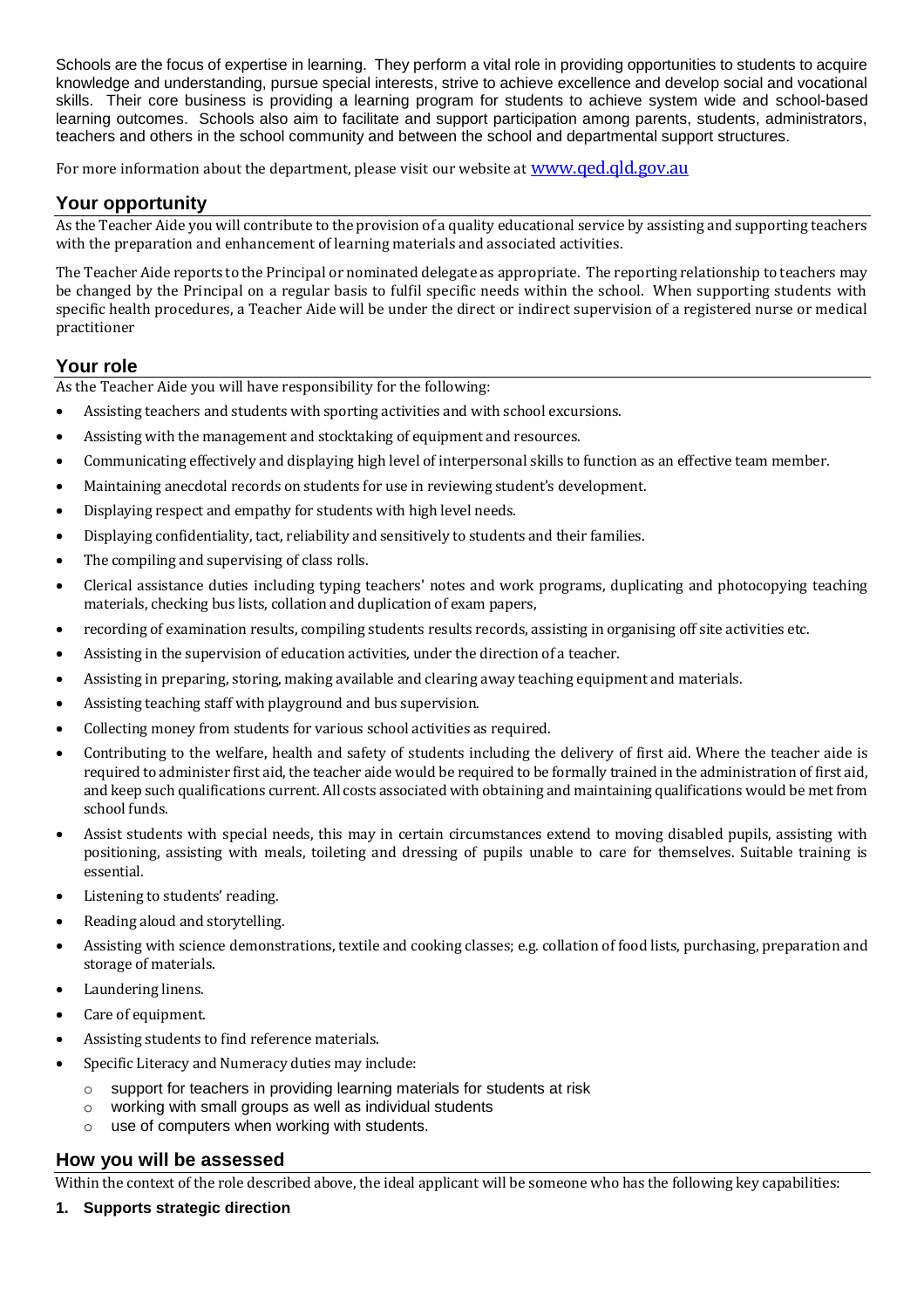Schools are the focus of expertise in learning. They perform a vital role in providing opportunities to students to acquire knowledge and understanding, pursue special interests, strive to achieve excellence and develop social and vocational skills. Their core business is providing a learning program for students to achieve system wide and school-based learning outcomes. Schools also aim to facilitate and support participation among parents, students, administrators, teachers and others in the school community and between the school and departmental support structures.

For more information about the department, please visit our website at **WWW.qed.qld.gov.au** 

# **Your opportunity**

As the Teacher Aide you will contribute to the provision of a quality educational service by assisting and supporting teachers with the preparation and enhancement of learning materials and associated activities.

The Teacher Aide reports to the Principal or nominated delegate as appropriate. The reporting relationship to teachers may be changed by the Principal on a regular basis to fulfil specific needs within the school. When supporting students with specific health procedures, a Teacher Aide will be under the direct or indirect supervision of a registered nurse or medical practitioner

## **Your role**

As the Teacher Aide you will have responsibility for the following:

- Assisting teachers and students with sporting activities and with school excursions.
- Assisting with the management and stocktaking of equipment and resources.
- Communicating effectively and displaying high level of interpersonal skills to function as an effective team member.
- Maintaining anecdotal records on students for use in reviewing student's development.
- Displaying respect and empathy for students with high level needs.
- Displaying confidentiality, tact, reliability and sensitively to students and their families.
- The compiling and supervising of class rolls.
- Clerical assistance duties including typing teachers' notes and work programs, duplicating and photocopying teaching materials, checking bus lists, collation and duplication of exam papers,
- recording of examination results, compiling students results records, assisting in organising off site activities etc.
- Assisting in the supervision of education activities, under the direction of a teacher.
- Assisting in preparing, storing, making available and clearing away teaching equipment and materials.
- Assisting teaching staff with playground and bus supervision.
- Collecting money from students for various school activities as required.
- Contributing to the welfare, health and safety of students including the delivery of first aid. Where the teacher aide is required to administer first aid, the teacher aide would be required to be formally trained in the administration of first aid, and keep such qualifications current. All costs associated with obtaining and maintaining qualifications would be met from school funds.
- Assist students with special needs, this may in certain circumstances extend to moving disabled pupils, assisting with positioning, assisting with meals, toileting and dressing of pupils unable to care for themselves. Suitable training is essential.
- Listening to students' reading.
- Reading aloud and storytelling.
- Assisting with science demonstrations, textile and cooking classes; e.g. collation of food lists, purchasing, preparation and storage of materials.
- Laundering linens.
- Care of equipment.
- Assisting students to find reference materials.
- Specific Literacy and Numeracy duties may include:
	- $\circ$  support for teachers in providing learning materials for students at risk
	- o working with small groups as well as individual students
	- o use of computers when working with students.

## **How you will be assessed**

Within the context of the role described above, the ideal applicant will be someone who has the following key capabilities:

**1. Supports strategic direction**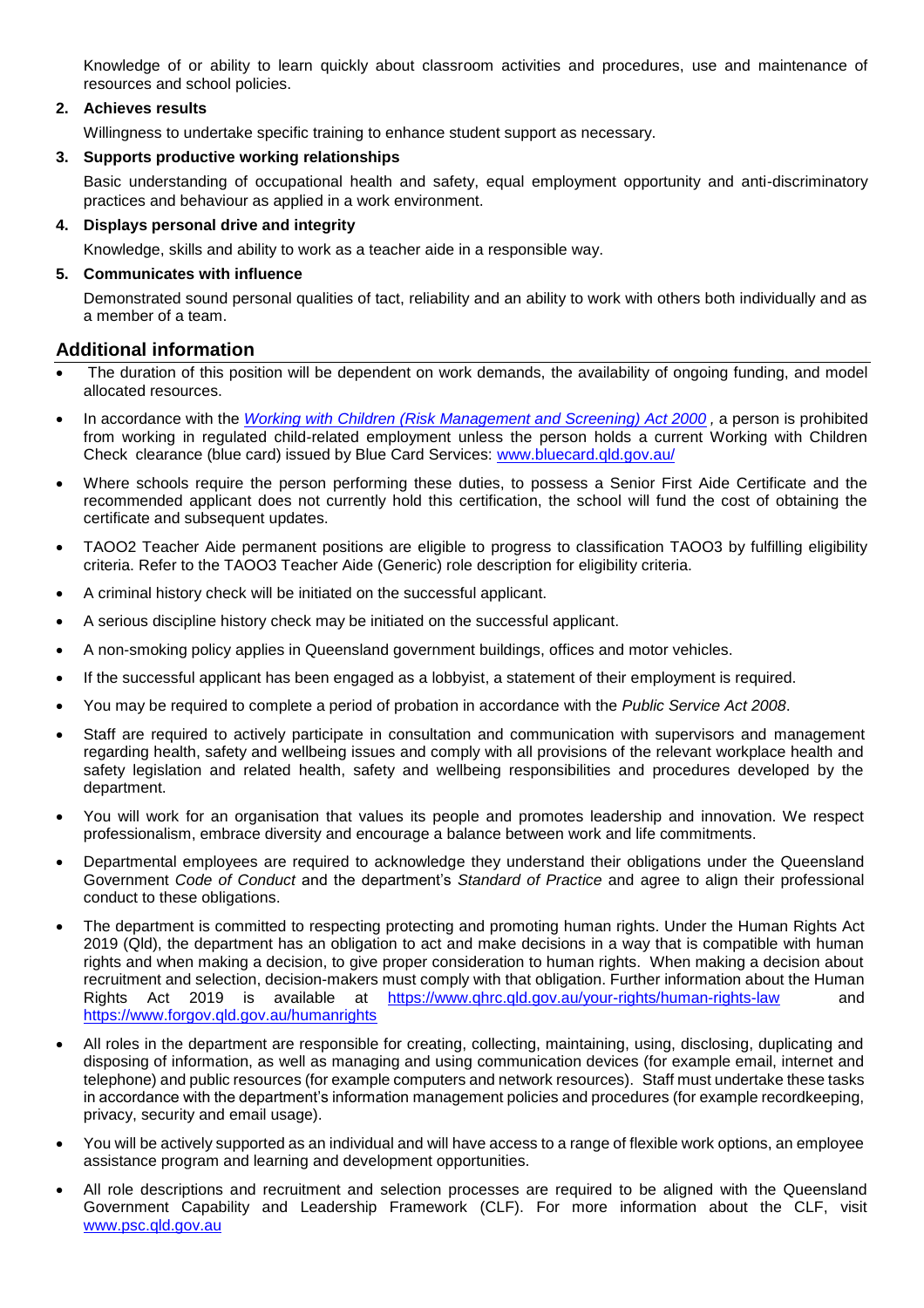Knowledge of or ability to learn quickly about classroom activities and procedures, use and maintenance of resources and school policies.

## **2. Achieves results**

Willingness to undertake specific training to enhance student support as necessary.

### **3. Supports productive working relationships**

Basic understanding of occupational health and safety, equal employment opportunity and anti-discriminatory practices and behaviour as applied in a work environment.

#### **4. Displays personal drive and integrity**

Knowledge, skills and ability to work as a teacher aide in a responsible way.

#### **5. Communicates with influence**

Demonstrated sound personal qualities of tact, reliability and an ability to work with others both individually and as a member of a team.

## **Additional information**

- The duration of this position will be dependent on work demands, the availability of ongoing funding, and model allocated resources.
- In accordance with the *[Working with Children \(Risk Management and Screening\) Act 2000](https://www.legislation.qld.gov.au/view/pdf/asmade/act-2019-018) ,* a person is prohibited from working in regulated child-related employment unless the person holds a current Working with Children Check clearance (blue card) issued by Blue Card Services: [www.bluecard.qld.gov.au/](http://www.bluecard.qld.gov.au/)
- Where schools require the person performing these duties, to possess a Senior First Aide Certificate and the recommended applicant does not currently hold this certification, the school will fund the cost of obtaining the certificate and subsequent updates.
- TAOO2 Teacher Aide permanent positions are eligible to progress to classification TAOO3 by fulfilling eligibility criteria. Refer to the TAOO3 Teacher Aide (Generic) role description for eligibility criteria.
- A criminal history check will be initiated on the successful applicant.
- A serious discipline history check may be initiated on the successful applicant.
- A non-smoking policy applies in Queensland government buildings, offices and motor vehicles.
- If the successful applicant has been engaged as a lobbyist, a statement of their employment is required.
- You may be required to complete a period of probation in accordance with the *Public Service Act 2008*.
- Staff are required to actively participate in consultation and communication with supervisors and management regarding health, safety and wellbeing issues and comply with all provisions of the relevant workplace health and safety legislation and related health, safety and wellbeing responsibilities and procedures developed by the department.
- You will work for an organisation that values its people and promotes leadership and innovation. We respect professionalism, embrace diversity and encourage a balance between work and life commitments.
- Departmental employees are required to acknowledge they understand their obligations under the Queensland Government *Code of Conduct* and the department's *Standard of Practice* and agree to align their professional conduct to these obligations.
- The department is committed to respecting protecting and promoting human rights. Under the Human Rights Act 2019 (Qld), the department has an obligation to act and make decisions in a way that is compatible with human rights and when making a decision, to give proper consideration to human rights. When making a decision about recruitment and selection, decision-makers must comply with that obligation. Further information about the Human Rights Act 2019 is available at https://www.ghrc.gld.gov.au/your-rights/human-rights-law <https://www.forgov.qld.gov.au/humanrights>
- All roles in the department are responsible for creating, collecting, maintaining, using, disclosing, duplicating and disposing of information, as well as managing and using communication devices (for example email, internet and telephone) and public resources (for example computers and network resources). Staff must undertake these tasks in accordance with the department's information management policies and procedures (for example recordkeeping, privacy, security and email usage).
- You will be actively supported as an individual and will have access to a range of flexible work options, an employee assistance program and learning and development opportunities.
- All role descriptions and recruitment and selection processes are required to be aligned with the Queensland Government Capability and Leadership Framework (CLF). For more information about the CLF, visit [www.psc.qld.gov.au](http://www.psc.qld.gov.au/)